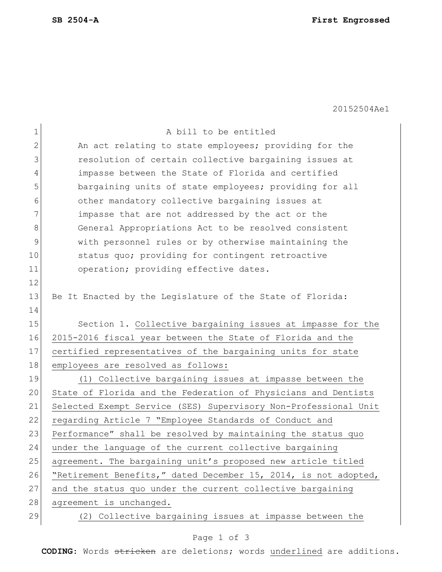20152504Ae1

| $\mathbf 1$    | A bill to be entitled                                           |
|----------------|-----------------------------------------------------------------|
| $\overline{2}$ | An act relating to state employees; providing for the           |
| 3              | resolution of certain collective bargaining issues at           |
| 4              | impasse between the State of Florida and certified              |
| 5              | bargaining units of state employees; providing for all          |
| 6              | other mandatory collective bargaining issues at                 |
| 7              | impasse that are not addressed by the act or the                |
| 8              | General Appropriations Act to be resolved consistent            |
| 9              | with personnel rules or by otherwise maintaining the            |
| 10             | status quo; providing for contingent retroactive                |
| 11             | operation; providing effective dates.                           |
| 12             |                                                                 |
| 13             | Be It Enacted by the Legislature of the State of Florida:       |
| 14             |                                                                 |
| 15             | Section 1. Collective bargaining issues at impasse for the      |
| 16             | 2015-2016 fiscal year between the State of Florida and the      |
| 17             | certified representatives of the bargaining units for state     |
| 18             | employees are resolved as follows:                              |
| 19             | (1) Collective bargaining issues at impasse between the         |
| 20             | State of Florida and the Federation of Physicians and Dentists  |
| 21             | Selected Exempt Service (SES) Supervisory Non-Professional Unit |
| 22             | regarding Article 7 "Employee Standards of Conduct and          |
| 23             | Performance" shall be resolved by maintaining the status quo    |
| 24             | under the language of the current collective bargaining         |
| 25             | agreement. The bargaining unit's proposed new article titled    |
| 26             | "Retirement Benefits," dated December 15, 2014, is not adopted, |
| 27             | and the status quo under the current collective bargaining      |
| 28             | agreement is unchanged.                                         |
| 29             | (2) Collective bargaining issues at impasse between the         |

## Page 1 of 3

**CODING**: Words stricken are deletions; words underlined are additions.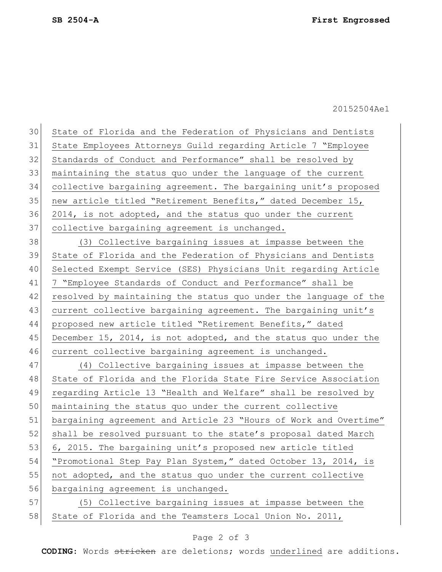20152504Ae1

30 State of Florida and the Federation of Physicians and Dentists 31 State Employees Attorneys Guild regarding Article 7 "Employee 32 Standards of Conduct and Performance" shall be resolved by 33 maintaining the status quo under the language of the current 34 collective bargaining agreement. The bargaining unit's proposed 35 new article titled "Retirement Benefits," dated December 15, 36 2014, is not adopted, and the status quo under the current 37 collective bargaining agreement is unchanged. 38 (3) Collective bargaining issues at impasse between the 39 State of Florida and the Federation of Physicians and Dentists 40 Selected Exempt Service (SES) Physicians Unit regarding Article 41 7 "Employee Standards of Conduct and Performance" shall be 42 resolved by maintaining the status quo under the language of the 43 current collective bargaining agreement. The bargaining unit's 44 proposed new article titled "Retirement Benefits," dated 45 December 15, 2014, is not adopted, and the status quo under the 46 current collective bargaining agreement is unchanged. 47 (4) Collective bargaining issues at impasse between the 48 State of Florida and the Florida State Fire Service Association 49 regarding Article 13 "Health and Welfare" shall be resolved by 50 maintaining the status quo under the current collective 51 bargaining agreement and Article 23 "Hours of Work and Overtime" 52 shall be resolved pursuant to the state's proposal dated March 53 6, 2015. The bargaining unit's proposed new article titled 54 "Promotional Step Pay Plan System," dated October 13, 2014, is 55 not adopted, and the status quo under the current collective 56 bargaining agreement is unchanged. 57 (5) Collective bargaining issues at impasse between the 58 State of Florida and the Teamsters Local Union No. 2011,

## Page 2 of 3

**CODING**: Words stricken are deletions; words underlined are additions.